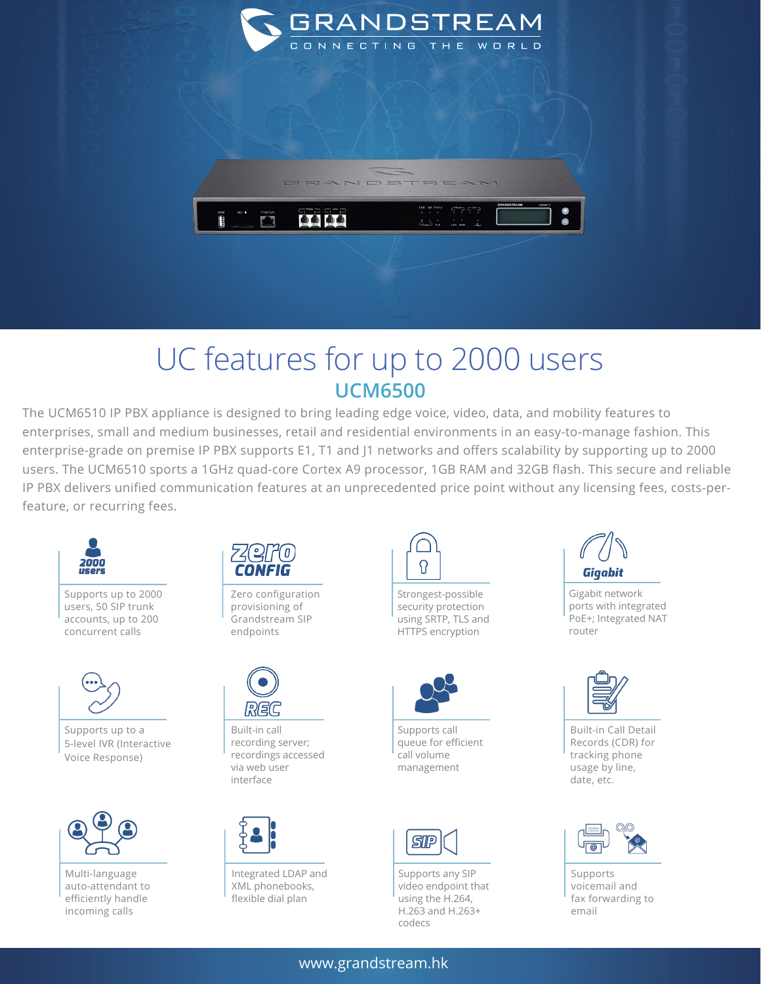

## UC features for up to 2000 users **UCM6500**

The UCM6510 IP PBX appliance is designed to bring leading edge voice, video, data, and mobility features to enterprises, small and medium businesses, retail and residential environments in an easy-to-manage fashion. This enterprise-grade on premise IP PBX supports E1, T1 and J1 networks and offers scalability by supporting up to 2000 users. The UCM6510 sports a 1GHz quad-core Cortex A9 processor, 1GB RAM and 32GB flash. This secure and reliable IP PBX delivers unified communication features at an unprecedented price point without any licensing fees, costs-perfeature, or recurring fees.



Supports up to 2000 users, 50 SIP trunk accounts, up to 200 concurrent calls



Supports up to a 5-level IVR (Interactive Voice Response)



Multi-language auto-attendant to efficiently handle incoming calls



Zero configuration provisioning of Grandstream SIP endpoints



Built-in call recording server; recordings accessed via web user interface



Integrated LDAP and XML phonebooks, flexible dial plan



Strongest-possible security protection using SRTP, TLS and HTTPS encryption



Supports call queue for efficient call volume management



Supports any SIP video endpoint that using the H.264, H.263 and H.263+ codecs



Gigabit network ports with integrated PoE+; Integrated NAT router



Built-in Call Detail Records (CDR) for tracking phone usage by line, date, etc.



Supports voicemail and fax forwarding to email

## www.grandstream.hk